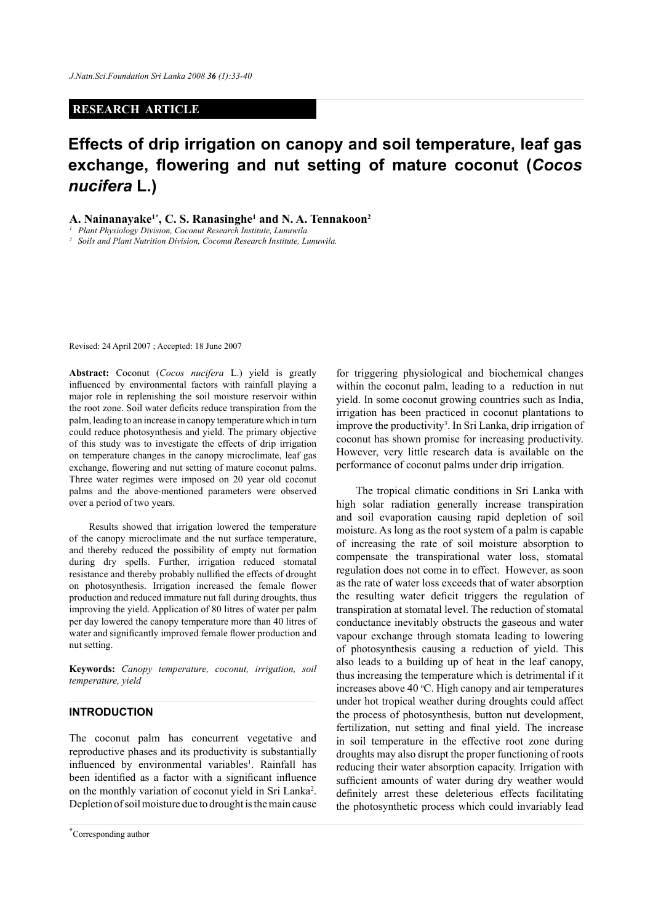## **RESEARCH ARTICLE**

# **Effects of drip irrigation on canopy and soil temperature, leaf gas exchange, flowering and nut setting of mature coconut (***Cocos nucifera* **L.)**

A. Nainanayake<sup>1\*</sup>, C. S. Ranasinghe<sup>1</sup> and N. A. Tennakoon<sup>2</sup>

*<sup>1</sup> Plant Physiology Division, Coconut Research Institute, Lunuwila.*

*<sup>2</sup> Soils and Plant Nutrition Division, Coconut Research Institute, Lunuwila.*

Revised: 24 April 2007 ; Accepted: 18 June 2007

**Abstract:** Coconut (*Cocos nucifera* L.) yield is greatly influenced by environmental factors with rainfall playing a major role in replenishing the soil moisture reservoir within the root zone. Soil water deficits reduce transpiration from the palm, leading to an increase in canopy temperature which in turn could reduce photosynthesis and yield. The primary objective of this study was to investigate the effects of drip irrigation on temperature changes in the canopy microclimate, leaf gas exchange, flowering and nut setting of mature coconut palms. Three water regimes were imposed on 20 year old coconut palms and the above-mentioned parameters were observed over a period of two years.

Results showed that irrigation lowered the temperature of the canopy microclimate and the nut surface temperature, and thereby reduced the possibility of empty nut formation during dry spells. Further, irrigation reduced stomatal resistance and thereby probably nullified the effects of drought on photosynthesis. Irrigation increased the female flower production and reduced immature nut fall during droughts, thus improving the yield. Application of 80 litres of water per palm per day lowered the canopy temperature more than 40 litres of water and significantly improved female flower production and nut setting.

**Keywords:** *Canopy temperature, coconut, irrigation, soil temperature, yield*

## **INTRODUCTION**

The coconut palm has concurrent vegetative and reproductive phases and its productivity is substantially influenced by environmental variables<sup>1</sup>. Rainfall has been identified as a factor with a significant influence on the monthly variation of coconut yield in Sri Lanka<sup>2</sup>. Depletion of soil moisture due to drought is the main cause

for triggering physiological and biochemical changes within the coconut palm, leading to a reduction in nut yield. In some coconut growing countries such as India, irrigation has been practiced in coconut plantations to improve the productivity<sup>3</sup>. In Sri Lanka, drip irrigation of coconut has shown promise for increasing productivity. However, very little research data is available on the performance of coconut palms under drip irrigation.

The tropical climatic conditions in Sri Lanka with high solar radiation generally increase transpiration and soil evaporation causing rapid depletion of soil moisture. As long as the root system of a palm is capable of increasing the rate of soil moisture absorption to compensate the transpirational water loss, stomatal regulation does not come in to effect. However, as soon as the rate of water loss exceeds that of water absorption the resulting water deficit triggers the regulation of transpiration at stomatal level. The reduction of stomatal conductance inevitably obstructs the gaseous and water vapour exchange through stomata leading to lowering of photosynthesis causing a reduction of yield. This also leads to a building up of heat in the leaf canopy, thus increasing the temperature which is detrimental if it increases above 40  $°C$ . High canopy and air temperatures under hot tropical weather during droughts could affect the process of photosynthesis, button nut development, fertilization, nut setting and final yield. The increase in soil temperature in the effective root zone during droughts may also disrupt the proper functioning of roots reducing their water absorption capacity. Irrigation with sufficient amounts of water during dry weather would definitely arrest these deleterious effects facilitating the photosynthetic process which could invariably lead

*Journal of the National Science Foundation of Sri Lanka 36 (1) March 2008* **\*** Corresponding author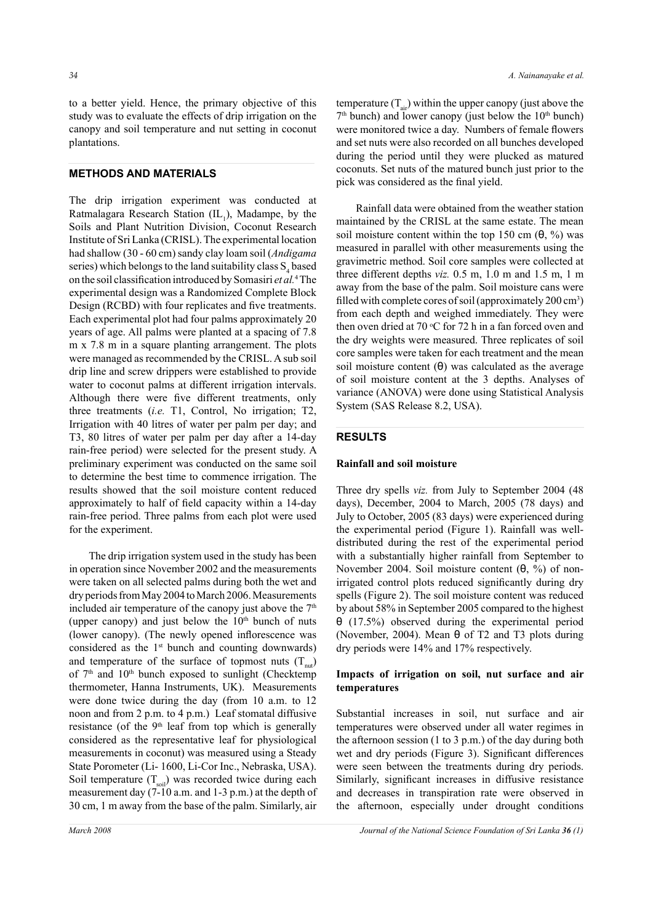to a better yield. Hence, the primary objective of this study was to evaluate the effects of drip irrigation on the canopy and soil temperature and nut setting in coconut plantations.

# **METHODS AND MATERIALS**

The drip irrigation experiment was conducted at Ratmalagara Research Station  $(IL_1)$ , Madampe, by the Soils and Plant Nutrition Division, Coconut Research Institute of Sri Lanka (CRISL). The experimental location had shallow (30 - 60 cm) sandy clay loam soil (*Andigama* series) which belongs to the land suitability class  $S_4$  based on the soil classification introduced by Somasiri *et al.*<sup>4</sup> The experimental design was a Randomized Complete Block Design (RCBD) with four replicates and five treatments. Each experimental plot had four palms approximately 20 years of age. All palms were planted at a spacing of 7.8 m x 7.8 m in a square planting arrangement. The plots were managed as recommended by the CRISL. A sub soil drip line and screw drippers were established to provide water to coconut palms at different irrigation intervals. Although there were five different treatments, only three treatments (*i.e.* T1, Control, No irrigation; T2, Irrigation with 40 litres of water per palm per day; and T3, 80 litres of water per palm per day after a 14-day rain-free period) were selected for the present study. A preliminary experiment was conducted on the same soil to determine the best time to commence irrigation. The results showed that the soil moisture content reduced approximately to half of field capacity within a 14-day rain-free period. Three palms from each plot were used for the experiment.

The drip irrigation system used in the study has been in operation since November 2002 and the measurements were taken on all selected palms during both the wet and dry periods from May 2004 to March 2006. Measurements included air temperature of the canopy just above the  $7<sup>th</sup>$ (upper canopy) and just below the  $10<sup>th</sup>$  bunch of nuts (lower canopy). (The newly opened inflorescence was considered as the  $1<sup>st</sup>$  bunch and counting downwards) and temperature of the surface of topmost nuts  $(T_{\text{net}})$ of  $7<sup>th</sup>$  and  $10<sup>th</sup>$  bunch exposed to sunlight (Checktemp thermometer, Hanna Instruments, UK). Measurements were done twice during the day (from 10 a.m. to 12 noon and from 2 p.m. to 4 p.m.) Leaf stomatal diffusive resistance (of the  $9<sup>th</sup>$  leaf from top which is generally considered as the representative leaf for physiological measurements in coconut) was measured using a Steady State Porometer (Li- 1600, Li-Cor Inc., Nebraska, USA). Soil temperature  $(T_{\text{soil}})$  was recorded twice during each measurement day (7-10 a.m. and 1-3 p.m.) at the depth of 30 cm, 1 m away from the base of the palm. Similarly, air

temperature  $(T_{air})$  within the upper canopy (just above the  $7<sup>th</sup>$  bunch) and lower canopy (just below the  $10<sup>th</sup>$  bunch) were monitored twice a day. Numbers of female flowers and set nuts were also recorded on all bunches developed during the period until they were plucked as matured coconuts. Set nuts of the matured bunch just prior to the pick was considered as the final yield.

Rainfall data were obtained from the weather station maintained by the CRISL at the same estate. The mean soil moisture content within the top 150 cm  $(\theta, \frac{9}{6})$  was measured in parallel with other measurements using the gravimetric method. Soil core samples were collected at three different depths *viz.* 0.5 m, 1.0 m and 1.5 m, 1 m away from the base of the palm. Soil moisture cans were filled with complete cores of soil (approximately 200 cm<sup>3</sup>) from each depth and weighed immediately. They were then oven dried at 70  $\degree$ C for 72 h in a fan forced oven and the dry weights were measured. Three replicates of soil core samples were taken for each treatment and the mean soil moisture content  $(\theta)$  was calculated as the average of soil moisture content at the 3 depths. Analyses of variance (ANOVA) were done using Statistical Analysis System (SAS Release 8.2, USA).

#### **RESULTS**

#### **Rainfall and soil moisture**

Three dry spells *viz.* from July to September 2004 (48 days), December, 2004 to March, 2005 (78 days) and July to October, 2005 (83 days) were experienced during the experimental period (Figure 1). Rainfall was welldistributed during the rest of the experimental period with a substantially higher rainfall from September to November 2004. Soil moisture content (θ, %) of nonirrigated control plots reduced significantly during dry spells (Figure 2). The soil moisture content was reduced by about 58% in September 2005 compared to the highest θ (17.5%) observed during the experimental period (November, 2004). Mean  $\theta$  of T2 and T3 plots during dry periods were 14% and 17% respectively.

### **Impacts of irrigation on soil, nut surface and air temperatures**

Substantial increases in soil, nut surface and air temperatures were observed under all water regimes in the afternoon session (1 to 3 p.m.) of the day during both wet and dry periods (Figure 3). Significant differences were seen between the treatments during dry periods. Similarly, significant increases in diffusive resistance and decreases in transpiration rate were observed in the afternoon, especially under drought conditions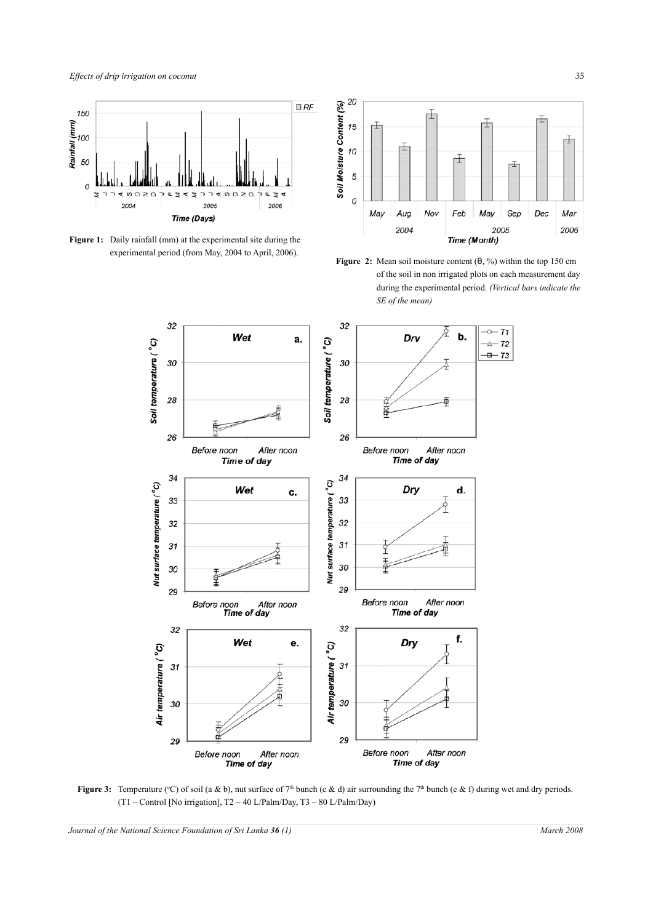

**Figure 1:** Daily rainfall (mm) at the experimental site during the experimental period (from May, 2004 to April, 2006).







**Figure 3:** Temperature (°C) of soil (a & b), nut surface of  $7<sup>th</sup>$  bunch (c & d) air surrounding the  $7<sup>th</sup>$  bunch (e & f) during wet and dry periods. (T1 – Control [No irrigation], T2 – 40 L/Palm/Day, T3 – 80 L/Palm/Day)

*Journal of the National Science Foundation of Sri Lanka 36 (1) March 2008*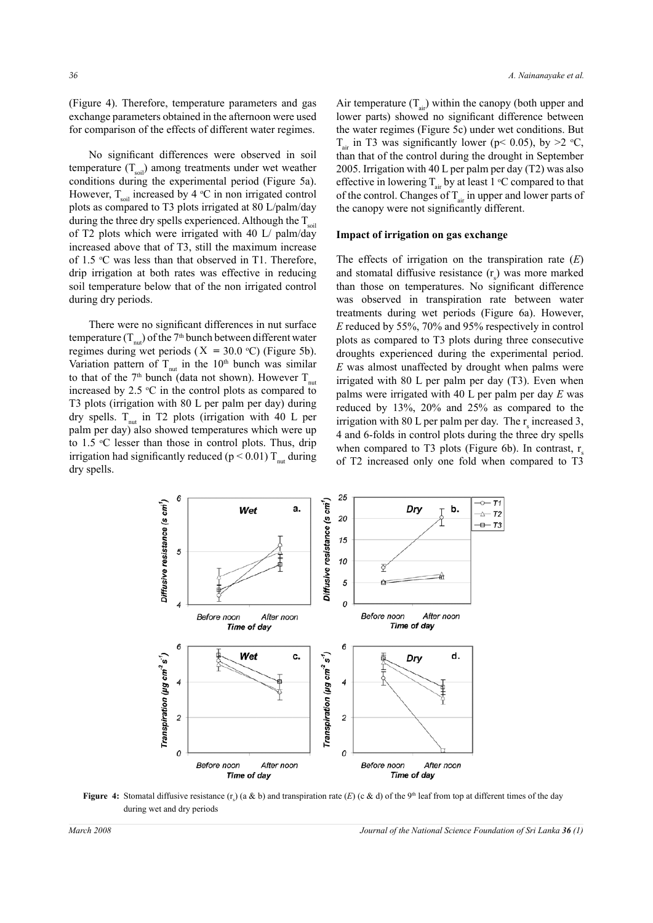(Figure 4). Therefore, temperature parameters and gas exchange parameters obtained in the afternoon were used for comparison of the effects of different water regimes.

No significant differences were observed in soil temperature  $(T_{\text{sol}})$  among treatments under wet weather conditions during the experimental period (Figure 5a). However,  $T_{\text{sol}}$  increased by 4 °C in non irrigated control plots as compared to T3 plots irrigated at 80 L/palm/day during the three dry spells experienced. Although the  $T_{\text{sol}}$ of T2 plots which were irrigated with 40 L/ palm/day increased above that of T3, still the maximum increase of 1.5  $\degree$ C was less than that observed in T1. Therefore, drip irrigation at both rates was effective in reducing soil temperature below that of the non irrigated control during dry periods.

There were no significant differences in nut surface temperature  $(T_{\text{nut}})$  of the 7<sup>th</sup> bunch between different water regimes during wet periods ( $X = 30.0$  °C) (Figure 5b). Variation pattern of  $T_{\text{out}}$  in the 10<sup>th</sup> bunch was similar to that of the 7<sup>th</sup> bunch (data not shown). However  $T_{\text{out}}$ increased by 2.5  $\degree$ C in the control plots as compared to T3 plots (irrigation with 80 L per palm per day) during dry spells.  $T_{\text{nut}}$  in T2 plots (irrigation with 40 L per palm per day) also showed temperatures which were up to 1.5 °C lesser than those in control plots. Thus, drip irrigation had significantly reduced ( $p < 0.01$ ) T<sub>nut</sub> during dry spells.

Air temperature  $(T_{air})$  within the canopy (both upper and lower parts) showed no significant difference between the water regimes (Figure 5c) under wet conditions. But  $T_{air}$  in T3 was significantly lower (p< 0.05), by >2 °C, than that of the control during the drought in September 2005. Irrigation with 40 L per palm per day (T2) was also effective in lowering  $T_{air}$  by at least 1 °C compared to that of the control. Changes of  $T_{air}$  in upper and lower parts of the canopy were not significantly different.

#### **Impact of irrigation on gas exchange**

The effects of irrigation on the transpiration rate (*E*) and stomatal diffusive resistance  $(r<sub>s</sub>)$  was more marked than those on temperatures. No significant difference was observed in transpiration rate between water treatments during wet periods (Figure 6a). However, *E* reduced by 55%, 70% and 95% respectively in control plots as compared to T3 plots during three consecutive droughts experienced during the experimental period. *E* was almost unaffected by drought when palms were irrigated with 80 L per palm per day (T3). Even when palms were irrigated with 40 L per palm per day *E* was reduced by 13%, 20% and 25% as compared to the irrigation with 80 L per palm per day. The  $r_s$  increased 3, 4 and 6-folds in control plots during the three dry spells when compared to T3 plots (Figure 6b). In contrast,  $r_s$ of T2 increased only one fold when compared to T3



**Figure 4:** Stomatal diffusive resistance  $(r_s)$  (a & b) and transpiration rate  $(E)$  (c & d) of the 9<sup>th</sup> leaf from top at different times of the day during wet and dry periods

*March 2008 Journal of the National Science Foundation of Sri Lanka 36 (1)*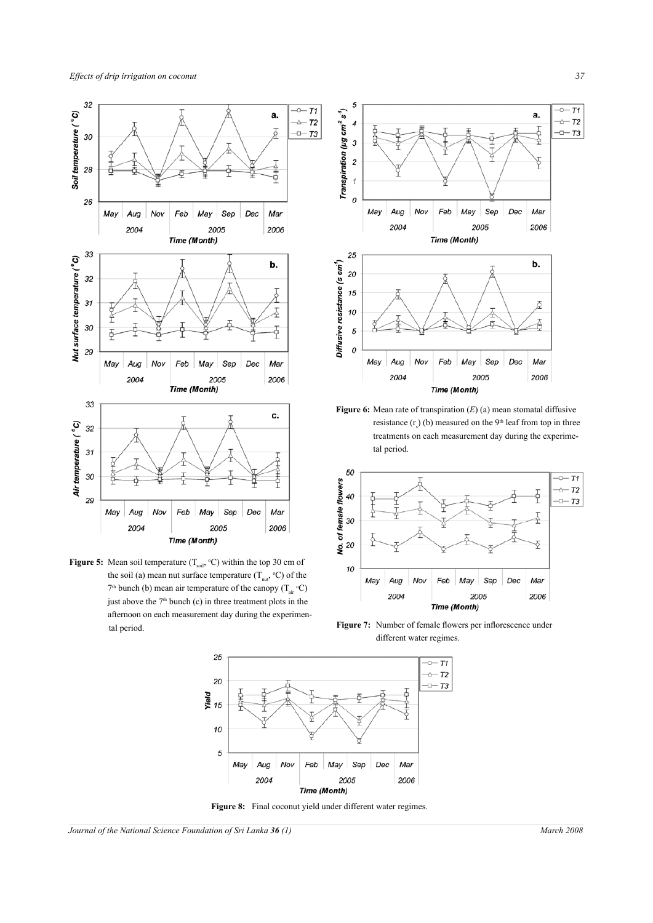





**Figure 6:** Mean rate of transpiration (*E*) (a) mean stomatal diffusive resistance  $(r<sub>s</sub>)$  (b) measured on the 9<sup>th</sup> leaf from top in three treatments on each measurement day during the experimetal period.



Figure 7: Number of female flowers per inflorescence under different water regimes.



**Figure 8:** Final coconut yield under different water regimes.

*Journal of the National Science Foundation of Sri Lanka 36 (1) March 2008*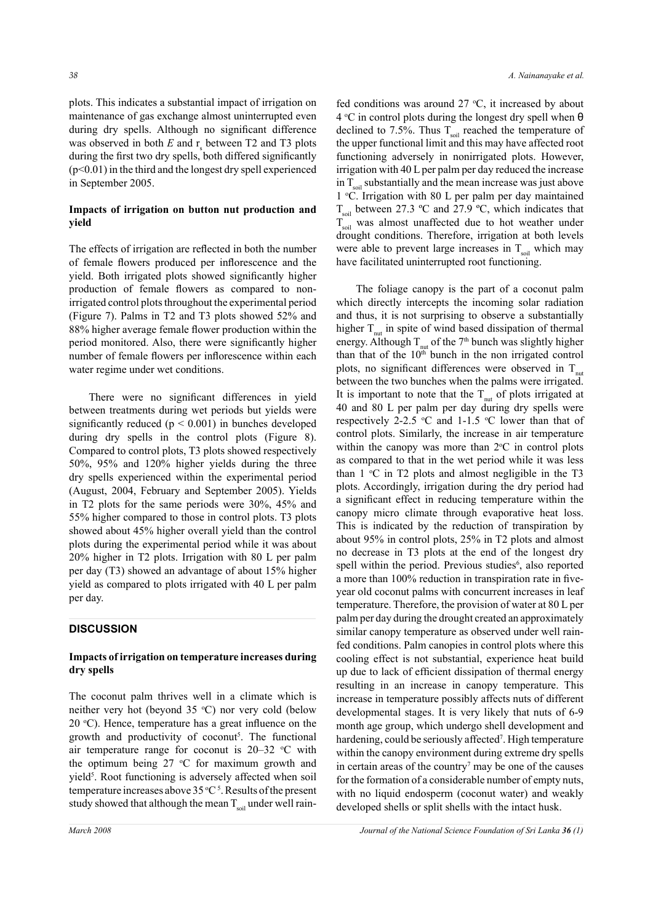plots. This indicates a substantial impact of irrigation on maintenance of gas exchange almost uninterrupted even during dry spells. Although no significant difference was observed in both  $E$  and  $r_s$  between T2 and T3 plots during the first two dry spells, both differed significantly (p<0.01) in the third and the longest dry spell experienced in September 2005.

## **Impacts of irrigation on button nut production and yield**

The effects of irrigation are reflected in both the number of female flowers produced per inflorescence and the yield. Both irrigated plots showed significantly higher production of female flowers as compared to nonirrigated control plots throughout the experimental period (Figure 7). Palms in T2 and T3 plots showed 52% and 88% higher average female flower production within the period monitored. Also, there were significantly higher number of female flowers per inflorescence within each water regime under wet conditions.

There were no significant differences in yield between treatments during wet periods but yields were significantly reduced ( $p < 0.001$ ) in bunches developed during dry spells in the control plots (Figure 8). Compared to control plots, T3 plots showed respectively 50%, 95% and 120% higher yields during the three dry spells experienced within the experimental period (August, 2004, February and September 2005). Yields in T2 plots for the same periods were 30%, 45% and 55% higher compared to those in control plots. T3 plots showed about 45% higher overall yield than the control plots during the experimental period while it was about 20% higher in T2 plots. Irrigation with 80 L per palm per day (T3) showed an advantage of about 15% higher yield as compared to plots irrigated with 40 L per palm per day.

## **DISCUSSION**

#### **Impacts of irrigation on temperature increases during dry spells**

The coconut palm thrives well in a climate which is neither very hot (beyond  $35 °C$ ) nor very cold (below  $20 \text{ }^{\circ}$ C). Hence, temperature has a great influence on the growth and productivity of coconut<sup>5</sup>. The functional air temperature range for coconut is  $20-32$  °C with the optimum being  $27 \text{ °C}$  for maximum growth and yield<sup>5</sup>. Root functioning is adversely affected when soil temperature increases above  $35^{\circ}C^5$ . Results of the present study showed that although the mean  $T_{\text{sol}}$  under well rain-

fed conditions was around  $27 \text{ °C}$ , it increased by about 4 °C in control plots during the longest dry spell when θ declined to 7.5%. Thus  $T_{\text{sol}}$  reached the temperature of the upper functional limit and this may have affected root functioning adversely in nonirrigated plots. However, irrigation with 40 L per palm per day reduced the increase in  $T_{\text{sol}}$  substantially and the mean increase was just above 1 o C. Irrigation with 80 L per palm per day maintained  $T_{\text{sol}}$  between 27.3 °C and 27.9 °C, which indicates that  $T<sub>sol</sub>$  was almost unaffected due to hot weather under drought conditions. Therefore, irrigation at both levels were able to prevent large increases in  $T_{\text{sol}}$  which may have facilitated uninterrupted root functioning.

The foliage canopy is the part of a coconut palm which directly intercepts the incoming solar radiation and thus, it is not surprising to observe a substantially higher  $T_{\text{out}}$  in spite of wind based dissipation of thermal energy. Although  $T_{n}$  of the 7<sup>th</sup> bunch was slightly higher than that of the  $10<sup>th</sup>$  bunch in the non irrigated control plots, no significant differences were observed in  $T_{\dots}$ between the two bunches when the palms were irrigated. It is important to note that the  $T_{\text{nut}}$  of plots irrigated at 40 and 80 L per palm per day during dry spells were respectively 2-2.5  $\degree$ C and 1-1.5  $\degree$ C lower than that of control plots. Similarly, the increase in air temperature within the canopy was more than  $2^{\circ}$ C in control plots as compared to that in the wet period while it was less than  $1 \text{ }^{\circ}\text{C}$  in T2 plots and almost negligible in the T3 plots. Accordingly, irrigation during the dry period had a significant effect in reducing temperature within the canopy micro climate through evaporative heat loss. This is indicated by the reduction of transpiration by about 95% in control plots, 25% in T2 plots and almost no decrease in T3 plots at the end of the longest dry spell within the period. Previous studies<sup>6</sup>, also reported a more than 100% reduction in transpiration rate in fiveyear old coconut palms with concurrent increases in leaf temperature. Therefore, the provision of water at 80 L per palm per day during the drought created an approximately similar canopy temperature as observed under well rainfed conditions. Palm canopies in control plots where this cooling effect is not substantial, experience heat build up due to lack of efficient dissipation of thermal energy resulting in an increase in canopy temperature. This increase in temperature possibly affects nuts of different developmental stages. It is very likely that nuts of 6-9 month age group, which undergo shell development and hardening, could be seriously affected<sup>7</sup>. High temperature within the canopy environment during extreme dry spells in certain areas of the country<sup>7</sup> may be one of the causes for the formation of a considerable number of empty nuts, with no liquid endosperm (coconut water) and weakly developed shells or split shells with the intact husk.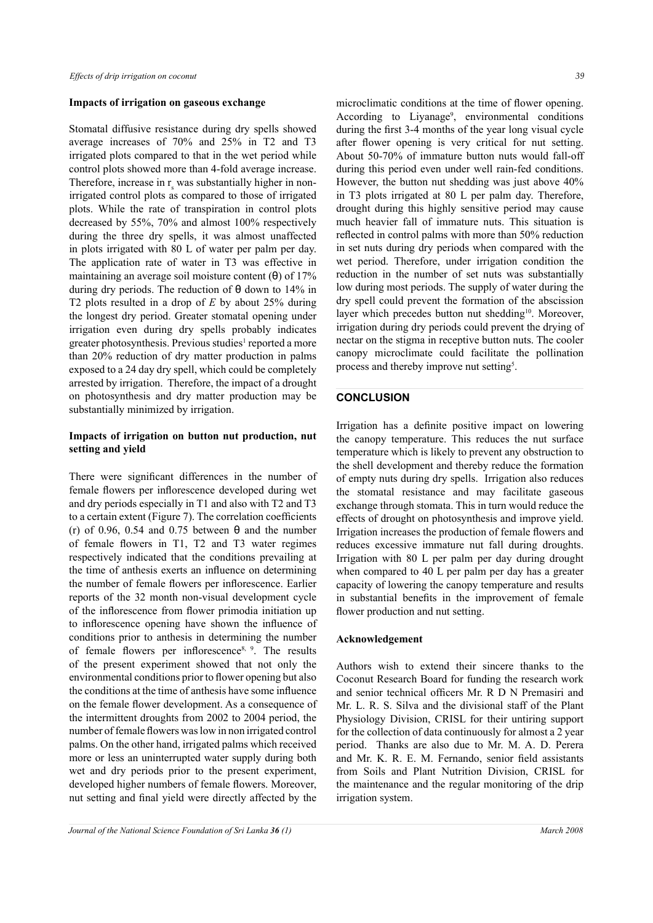#### **Impacts of irrigation on gaseous exchange**

Stomatal diffusive resistance during dry spells showed average increases of 70% and 25% in T2 and T3 irrigated plots compared to that in the wet period while control plots showed more than 4-fold average increase. Therefore, increase in  $r<sub>s</sub>$  was substantially higher in nonirrigated control plots as compared to those of irrigated plots. While the rate of transpiration in control plots decreased by 55%, 70% and almost 100% respectively during the three dry spells, it was almost unaffected in plots irrigated with 80 L of water per palm per day. The application rate of water in T3 was effective in maintaining an average soil moisture content  $(\theta)$  of 17% during dry periods. The reduction of  $\theta$  down to 14% in T2 plots resulted in a drop of *E* by about 25% during the longest dry period. Greater stomatal opening under irrigation even during dry spells probably indicates greater photosynthesis. Previous studies<sup>1</sup> reported a more than 20% reduction of dry matter production in palms exposed to a 24 day dry spell, which could be completely arrested by irrigation. Therefore, the impact of a drought on photosynthesis and dry matter production may be substantially minimized by irrigation.

## **Impacts of irrigation on button nut production, nut setting and yield**

There were significant differences in the number of female flowers per inflorescence developed during wet and dry periods especially in T1 and also with T2 and T3 to a certain extent (Figure 7). The correlation coefficients (r) of 0.96, 0.54 and 0.75 between  $\theta$  and the number of female flowers in T1, T2 and T3 water regimes respectively indicated that the conditions prevailing at the time of anthesis exerts an influence on determining the number of female flowers per inflorescence. Earlier reports of the 32 month non-visual development cycle of the inflorescence from flower primodia initiation up to inflorescence opening have shown the influence of conditions prior to anthesis in determining the number of female flowers per inflorescence8, 9. The results of the present experiment showed that not only the environmental conditions prior to flower opening but also the conditions at the time of anthesis have some influence on the female flower development. As a consequence of the intermittent droughts from 2002 to 2004 period, the number of female flowers was low in non irrigated control palms. On the other hand, irrigated palms which received more or less an uninterrupted water supply during both wet and dry periods prior to the present experiment, developed higher numbers of female flowers. Moreover, nut setting and final yield were directly affected by the microclimatic conditions at the time of flower opening. According to Liyanage<sup>9</sup>, environmental conditions during the first 3-4 months of the year long visual cycle after flower opening is very critical for nut setting. About 50-70% of immature button nuts would fall-off during this period even under well rain-fed conditions. However, the button nut shedding was just above 40% in T3 plots irrigated at 80 L per palm day. Therefore, drought during this highly sensitive period may cause much heavier fall of immature nuts. This situation is reflected in control palms with more than 50% reduction in set nuts during dry periods when compared with the wet period. Therefore, under irrigation condition the reduction in the number of set nuts was substantially low during most periods. The supply of water during the dry spell could prevent the formation of the abscission layer which precedes button nut shedding<sup>10</sup>. Moreover, irrigation during dry periods could prevent the drying of nectar on the stigma in receptive button nuts. The cooler canopy microclimate could facilitate the pollination process and thereby improve nut setting<sup>5</sup>.

#### **CONCLUSION**

Irrigation has a definite positive impact on lowering the canopy temperature. This reduces the nut surface temperature which is likely to prevent any obstruction to the shell development and thereby reduce the formation of empty nuts during dry spells. Irrigation also reduces the stomatal resistance and may facilitate gaseous exchange through stomata. This in turn would reduce the effects of drought on photosynthesis and improve yield. Irrigation increases the production of female flowers and reduces excessive immature nut fall during droughts. Irrigation with 80 L per palm per day during drought when compared to 40 L per palm per day has a greater capacity of lowering the canopy temperature and results in substantial benefits in the improvement of female flower production and nut setting.

#### **Acknowledgement**

Authors wish to extend their sincere thanks to the Coconut Research Board for funding the research work and senior technical officers Mr. R D N Premasiri and Mr. L. R. S. Silva and the divisional staff of the Plant Physiology Division, CRISL for their untiring support for the collection of data continuously for almost a 2 year period. Thanks are also due to Mr. M. A. D. Perera and Mr. K. R. E. M. Fernando, senior field assistants from Soils and Plant Nutrition Division, CRISL for the maintenance and the regular monitoring of the drip irrigation system.